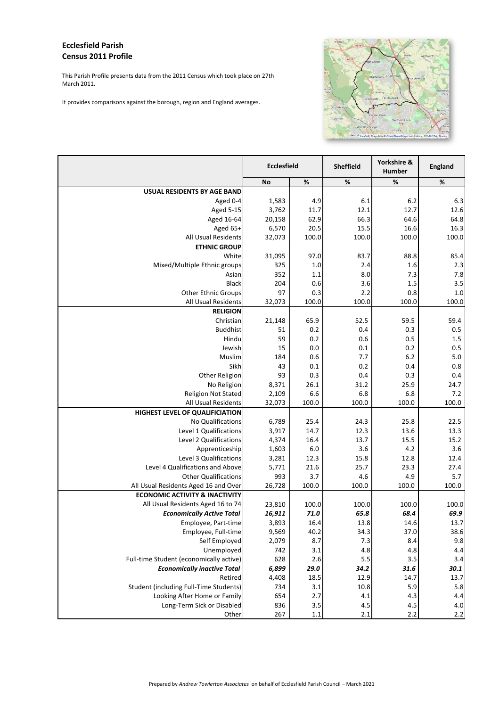## **Ecclesfield Parish Census 2011 Profile**

This Parish Profile presents data from the 2011 Census which took place on 27th March 2011.

It provid

| des comparisons against the borough, region and England averages.   |                    |              | Grenoside<br>Oughtibridge<br>Worrall<br><b>Wadsley Bridge</b> | Whitley<br>Ecclesfield<br>Sheffield Lan<br>Top<br>Longley<br>Wadsl Leaflet   Map data @ OpenStreetMap contributors, CC-BY-SA, Nomis | Kimberw<br>Park<br>B<br>Richmond<br>Park<br>Tem<br>Tinsley |
|---------------------------------------------------------------------|--------------------|--------------|---------------------------------------------------------------|-------------------------------------------------------------------------------------------------------------------------------------|------------------------------------------------------------|
|                                                                     | <b>Ecclesfield</b> |              | Sheffield                                                     | Yorkshire &<br>Humber                                                                                                               | England                                                    |
|                                                                     | <b>No</b>          | $\%$         | $\%$                                                          | %                                                                                                                                   | $\%$                                                       |
| <b>USUAL RESIDENTS BY AGE BAND</b>                                  |                    |              |                                                               |                                                                                                                                     |                                                            |
| Aged 0-4                                                            | 1,583              | 4.9          | 6.1                                                           | $6.2$                                                                                                                               | 6.3                                                        |
| <b>Aged 5-15</b>                                                    | 3,762              | 11.7<br>62.9 | 12.1<br>66.3                                                  | 12.7<br>64.6                                                                                                                        | 12.6<br>64.8                                               |
| Aged 16-64<br>Aged 65+                                              | 20,158<br>6,570    | 20.5         | 15.5                                                          | 16.6                                                                                                                                | 16.3                                                       |
| All Usual Residents                                                 | 32,073             | 100.0        | 100.0                                                         | 100.0                                                                                                                               | 100.0                                                      |
| <b>ETHNIC GROUP</b>                                                 |                    |              |                                                               |                                                                                                                                     |                                                            |
| White                                                               | 31,095             | 97.0         | 83.7                                                          | 88.8                                                                                                                                | 85.4                                                       |
| Mixed/Multiple Ethnic groups                                        | 325                | 1.0          | 2.4                                                           | 1.6                                                                                                                                 | 2.3                                                        |
| Asian                                                               | 352                | 1.1          | 8.0                                                           | 7.3                                                                                                                                 | 7.8                                                        |
| <b>Black</b>                                                        | 204                | 0.6          | 3.6                                                           | 1.5                                                                                                                                 | 3.5                                                        |
| <b>Other Ethnic Groups</b>                                          | 97                 | 0.3          | 2.2                                                           | 0.8                                                                                                                                 | 1.0                                                        |
| All Usual Residents                                                 | 32,073             | 100.0        | 100.0                                                         | 100.0                                                                                                                               | 100.0                                                      |
| <b>RELIGION</b>                                                     |                    |              |                                                               |                                                                                                                                     |                                                            |
| Christian                                                           | 21,148             | 65.9         | 52.5                                                          | 59.5                                                                                                                                | 59.4                                                       |
| <b>Buddhist</b>                                                     | 51                 | 0.2          | 0.4                                                           | 0.3                                                                                                                                 | 0.5                                                        |
| Hindu                                                               | 59                 | 0.2          | 0.6                                                           | 0.5                                                                                                                                 | 1.5                                                        |
| Jewish                                                              | 15                 | 0.0          | 0.1                                                           | 0.2                                                                                                                                 | 0.5                                                        |
| Muslim<br>Sikh                                                      | 184<br>43          | 0.6<br>0.1   | 7.7<br>0.2                                                    | 6.2<br>0.4                                                                                                                          | 5.0<br>0.8                                                 |
| Other Religion                                                      | 93                 | 0.3          | 0.4                                                           | 0.3                                                                                                                                 | 0.4                                                        |
| No Religion                                                         | 8,371              | 26.1         | 31.2                                                          | 25.9                                                                                                                                | 24.7                                                       |
| <b>Religion Not Stated</b>                                          | 2,109              | 6.6          | 6.8                                                           | 6.8                                                                                                                                 | 7.2                                                        |
| All Usual Residents                                                 | 32,073             | 100.0        | 100.0                                                         | 100.0                                                                                                                               | 100.0                                                      |
| HIGHEST LEVEL OF QUALIFICIATION                                     |                    |              |                                                               |                                                                                                                                     |                                                            |
| No Qualifications                                                   | 6,789              | 25.4         | 24.3                                                          | 25.8                                                                                                                                | 22.5                                                       |
| Level 1 Qualifications                                              | 3,917              | 14.7         | 12.3                                                          | 13.6                                                                                                                                | 13.3                                                       |
| Level 2 Qualifications                                              | 4,374              | 16.4         | 13.7                                                          | 15.5                                                                                                                                | 15.2                                                       |
| Apprenticeship                                                      | 1,603              | 6.0          | 3.6                                                           | 4.2                                                                                                                                 | 3.6                                                        |
| Level 3 Qualifications                                              | 3,281              | 12.3         | 15.8                                                          | 12.8                                                                                                                                | 12.4                                                       |
| Level 4 Qualifications and Above                                    | 5,771              | 21.6         | 25.7                                                          | 23.3                                                                                                                                | 27.4                                                       |
| <b>Other Qualifications</b><br>All Usual Residents Aged 16 and Over | 993<br>26,728      | 3.7<br>100.0 | 4.6<br>100.0                                                  | 4.9<br>100.0                                                                                                                        | 5.7<br>100.0                                               |
| <b>ECONOMIC ACTIVITY &amp; INACTIVITY</b>                           |                    |              |                                                               |                                                                                                                                     |                                                            |
| All Usual Residents Aged 16 to 74                                   | 23,810             | 100.0        | 100.0                                                         | 100.0                                                                                                                               | 100.0                                                      |
| <b>Economically Active Total</b>                                    | 16,911             | 71.0         | 65.8                                                          | 68.4                                                                                                                                | 69.9                                                       |
| Employee, Part-time                                                 | 3,893              | 16.4         | 13.8                                                          | 14.6                                                                                                                                | 13.7                                                       |
| Employee, Full-time                                                 | 9,569              | 40.2         | 34.3                                                          | 37.0                                                                                                                                | 38.6                                                       |
| Self Employed                                                       | 2,079              | 8.7          | 7.3                                                           | 8.4                                                                                                                                 | 9.8                                                        |
| Unemployed                                                          | 742                | 3.1          | 4.8                                                           | 4.8                                                                                                                                 | 4.4                                                        |
| Full-time Student (economically active)                             | 628                | 2.6          | 5.5                                                           | 3.5                                                                                                                                 | 3.4                                                        |
| <b>Economically inactive Total</b>                                  | 6,899              | 29.0         | 34.2                                                          | 31.6                                                                                                                                | 30.1                                                       |
| Retired                                                             | 4,408              | 18.5         | 12.9                                                          | 14.7                                                                                                                                | 13.7                                                       |
| Student (including Full-Time Students)                              | 734                | 3.1          | 10.8                                                          | 5.9                                                                                                                                 | 5.8                                                        |
| Looking After Home or Family                                        | 654                | 2.7          | 4.1                                                           | 4.3                                                                                                                                 | 4.4                                                        |
| Long-Term Sick or Disabled                                          | 836                | 3.5          | 4.5                                                           | 4.5                                                                                                                                 | 4.0                                                        |
| Other                                                               | 267                | $1.1\,$      | 2.1                                                           | 2.2                                                                                                                                 | 2.2                                                        |

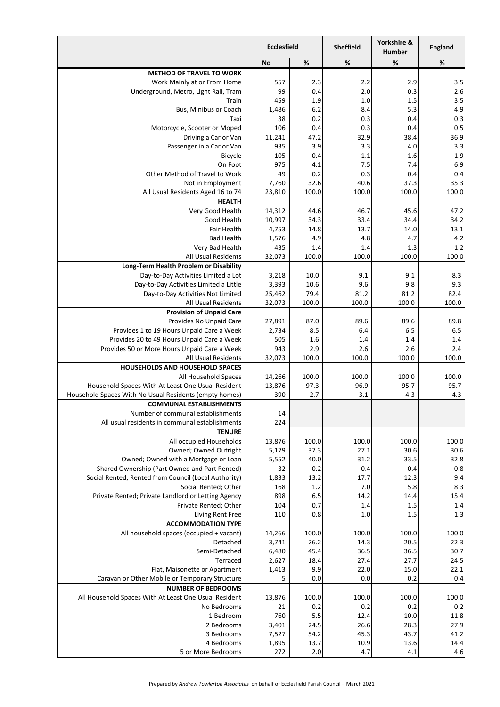|                                                                               | <b>Ecclesfield</b> |              | <b>Sheffield</b> | Yorkshire &<br>Humber | England      |
|-------------------------------------------------------------------------------|--------------------|--------------|------------------|-----------------------|--------------|
|                                                                               | <b>No</b>          | $\%$         | %                | %                     | $\%$         |
| <b>METHOD OF TRAVEL TO WORK</b>                                               |                    |              |                  |                       |              |
| Work Mainly at or From Home                                                   | 557<br>99          | 2.3          | 2.2              | 2.9                   | 3.5<br>2.6   |
| Underground, Metro, Light Rail, Tram<br>Train                                 | 459                | 0.4<br>1.9   | 2.0<br>1.0       | 0.3<br>1.5            | 3.5          |
| Bus, Minibus or Coach                                                         | 1,486              | 6.2          | 8.4              | 5.3                   | 4.9          |
| Taxi                                                                          | 38                 | 0.2          | 0.3              | 0.4                   | 0.3          |
| Motorcycle, Scooter or Moped                                                  | 106                | 0.4          | 0.3              | 0.4                   | 0.5          |
| Driving a Car or Van                                                          | 11,241             | 47.2         | 32.9             | 38.4                  | 36.9         |
| Passenger in a Car or Van                                                     | 935                | 3.9          | 3.3              | 4.0                   | 3.3          |
| Bicycle                                                                       | 105                | $0.4\,$      | 1.1              | 1.6                   | 1.9          |
| On Foot                                                                       | 975                | 4.1          | 7.5              | 7.4                   | 6.9          |
| Other Method of Travel to Work<br>Not in Employment                           | 49                 | 0.2<br>32.6  | 0.3<br>40.6      | 0.4<br>37.3           | 0.4<br>35.3  |
| All Usual Residents Aged 16 to 74                                             | 7,760<br>23,810    | 100.0        | 100.0            | 100.0                 | 100.0        |
| <b>HEALTH</b>                                                                 |                    |              |                  |                       |              |
| Very Good Health                                                              | 14,312             | 44.6         | 46.7             | 45.6                  | 47.2         |
| Good Health                                                                   | 10,997             | 34.3         | 33.4             | 34.4                  | 34.2         |
| Fair Health                                                                   | 4,753              | 14.8         | 13.7             | 14.0                  | 13.1         |
| <b>Bad Health</b>                                                             | 1,576              | 4.9          | 4.8              | 4.7                   | 4.2          |
| Very Bad Health                                                               | 435                | 1.4          | 1.4              | 1.3                   | 1.2          |
| All Usual Residents                                                           | 32,073             | 100.0        | 100.0            | 100.0                 | 100.0        |
| Long-Term Health Problem or Disability                                        |                    |              |                  |                       |              |
| Day-to-Day Activities Limited a Lot<br>Day-to-Day Activities Limited a Little | 3,218<br>3,393     | 10.0<br>10.6 | 9.1<br>9.6       | 9.1<br>9.8            | 8.3<br>9.3   |
| Day-to-Day Activities Not Limited                                             | 25,462             | 79.4         | 81.2             | 81.2                  | 82.4         |
| All Usual Residents                                                           | 32,073             | 100.0        | 100.0            | 100.0                 | 100.0        |
| <b>Provision of Unpaid Care</b>                                               |                    |              |                  |                       |              |
| Provides No Unpaid Care                                                       | 27,891             | 87.0         | 89.6             | 89.6                  | 89.8         |
| Provides 1 to 19 Hours Unpaid Care a Week                                     | 2,734              | 8.5          | 6.4              | 6.5                   | 6.5          |
| Provides 20 to 49 Hours Unpaid Care a Week                                    | 505                | 1.6          | 1.4              | 1.4                   | 1.4          |
| Provides 50 or More Hours Unpaid Care a Week                                  | 943                | 2.9          | 2.6              | 2.6                   | 2.4          |
| All Usual Residents<br><b>HOUSEHOLDS AND HOUSEHOLD SPACES</b>                 | 32,073             | 100.0        | 100.0            | 100.0                 | 100.0        |
| All Household Spaces                                                          | 14,266             | 100.0        | 100.0            | 100.0                 | 100.0        |
| Household Spaces With At Least One Usual Resident                             | 13,876             | 97.3         | 96.9             | 95.7                  | 95.7         |
| Household Spaces With No Usual Residents (empty homes)                        | 390                | 2.7          | 3.1              | 4.3                   | 4.3          |
| <b>COMMUNAL ESTABLISHMENTS</b>                                                |                    |              |                  |                       |              |
| Number of communal establishments                                             | 14                 |              |                  |                       |              |
| All usual residents in communal establishments                                | 224                |              |                  |                       |              |
| <b>TENURE</b><br>All occupied Households                                      | 13,876             | 100.0        | 100.0            | 100.0                 | 100.0        |
| Owned; Owned Outright                                                         | 5,179              | 37.3         | 27.1             | 30.6                  | 30.6         |
| Owned; Owned with a Mortgage or Loan                                          | 5,552              | 40.0         | 31.2             | 33.5                  | 32.8         |
| Shared Ownership (Part Owned and Part Rented)                                 | 32                 | 0.2          | 0.4              | 0.4                   | 0.8          |
| Social Rented; Rented from Council (Local Authority)                          | 1,833              | 13.2         | 17.7             | 12.3                  | 9.4          |
| Social Rented; Other                                                          | 168                | 1.2          | 7.0              | 5.8                   | 8.3          |
| Private Rented; Private Landlord or Letting Agency                            | 898                | 6.5          | 14.2             | 14.4                  | 15.4         |
| Private Rented; Other                                                         | 104                | 0.7          | 1.4              | 1.5<br>1.5            | 1.4          |
| Living Rent Free<br><b>ACCOMMODATION TYPE</b>                                 | 110                | 0.8          | 1.0              |                       | 1.3          |
| All household spaces (occupied + vacant)                                      | 14,266             | 100.0        | 100.0            | 100.0                 | 100.0        |
| Detached                                                                      | 3,741              | 26.2         | 14.3             | 20.5                  | 22.3         |
| Semi-Detached                                                                 | 6,480              | 45.4         | 36.5             | 36.5                  | 30.7         |
| Terraced                                                                      | 2,627              | 18.4         | 27.4             | 27.7                  | 24.5         |
| Flat, Maisonette or Apartment                                                 | 1,413              | 9.9          | 22.0             | 15.0                  | 22.1         |
| Caravan or Other Mobile or Temporary Structure                                | 5                  | 0.0          | 0.0              | 0.2                   | 0.4          |
| <b>NUMBER OF BEDROOMS</b>                                                     |                    |              |                  |                       |              |
| All Household Spaces With At Least One Usual Resident<br>No Bedrooms          | 13,876<br>21       | 100.0<br>0.2 | 100.0<br>0.2     | 100.0<br>0.2          | 100.0<br>0.2 |
| 1 Bedroom                                                                     | 760                | 5.5          | 12.4             | 10.0                  | 11.8         |
| 2 Bedrooms                                                                    | 3,401              | 24.5         | 26.6             | 28.3                  | 27.9         |
| 3 Bedrooms                                                                    | 7,527              | 54.2         | 45.3             | 43.7                  | 41.2         |
| 4 Bedrooms                                                                    | 1,895              | 13.7         | 10.9             | 13.6                  | 14.4         |
| 5 or More Bedrooms                                                            | 272                | $2.0$        | 4.7              | 4.1                   | 4.6          |